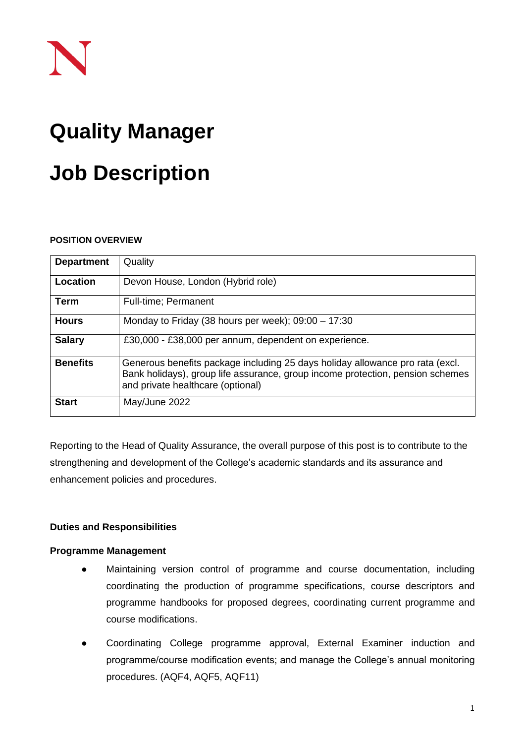# **Quality Manager**

# **Job Description**

## **POSITION OVERVIEW**

| <b>Department</b> | Quality                                                                                                                                                                                              |
|-------------------|------------------------------------------------------------------------------------------------------------------------------------------------------------------------------------------------------|
| Location          | Devon House, London (Hybrid role)                                                                                                                                                                    |
| <b>Term</b>       | Full-time; Permanent                                                                                                                                                                                 |
| <b>Hours</b>      | Monday to Friday (38 hours per week); $09:00 - 17:30$                                                                                                                                                |
| <b>Salary</b>     | £30,000 - £38,000 per annum, dependent on experience.                                                                                                                                                |
| <b>Benefits</b>   | Generous benefits package including 25 days holiday allowance pro rata (excl.<br>Bank holidays), group life assurance, group income protection, pension schemes<br>and private healthcare (optional) |
| <b>Start</b>      | May/June 2022                                                                                                                                                                                        |

Reporting to the Head of Quality Assurance, the overall purpose of this post is to contribute to the strengthening and development of the College's academic standards and its assurance and enhancement policies and procedures.

# **Duties and Responsibilities**

## **Programme Management**

- Maintaining version control of programme and course documentation, including coordinating the production of programme specifications, course descriptors and programme handbooks for proposed degrees, coordinating current programme and course modifications.
- Coordinating College programme approval, External Examiner induction and programme/course modification events; and manage the College's annual monitoring procedures. (AQF4, AQF5, AQF11)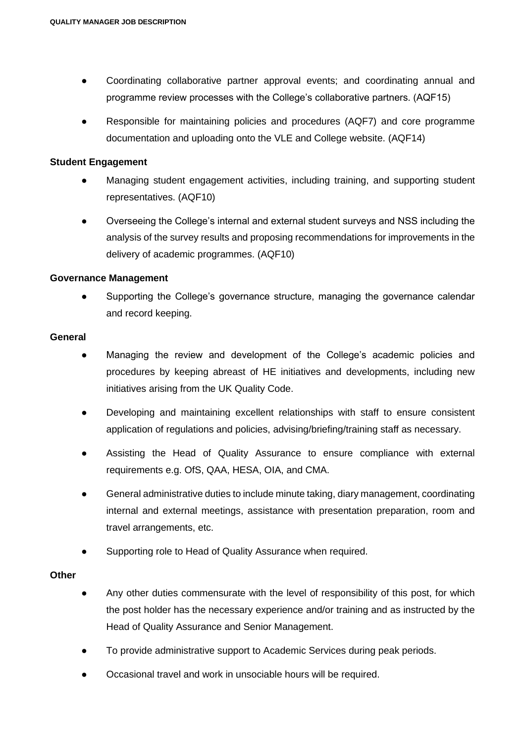- Coordinating collaborative partner approval events; and coordinating annual and programme review processes with the College's collaborative partners. (AQF15)
- Responsible for maintaining policies and procedures (AQF7) and core programme documentation and uploading onto the VLE and College website. (AQF14)

#### **Student Engagement**

- Managing student engagement activities, including training, and supporting student representatives. (AQF10)
- Overseeing the College's internal and external student surveys and NSS including the analysis of the survey results and proposing recommendations for improvements in the delivery of academic programmes. (AQF10)

#### **Governance Management**

● Supporting the College's governance structure, managing the governance calendar and record keeping.

#### **General**

- Managing the review and development of the College's academic policies and procedures by keeping abreast of HE initiatives and developments, including new initiatives arising from the UK Quality Code.
- Developing and maintaining excellent relationships with staff to ensure consistent application of regulations and policies, advising/briefing/training staff as necessary.
- Assisting the Head of Quality Assurance to ensure compliance with external requirements e.g. OfS, QAA, HESA, OIA, and CMA.
- General administrative duties to include minute taking, diary management, coordinating internal and external meetings, assistance with presentation preparation, room and travel arrangements, etc.
- Supporting role to Head of Quality Assurance when required.

#### **Other**

- Any other duties commensurate with the level of responsibility of this post, for which the post holder has the necessary experience and/or training and as instructed by the Head of Quality Assurance and Senior Management.
- To provide administrative support to Academic Services during peak periods.
- Occasional travel and work in unsociable hours will be required.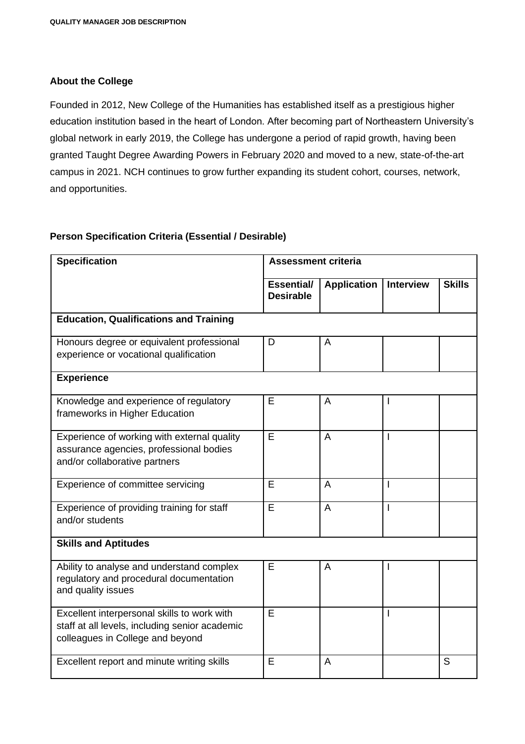## **About the College**

Founded in 2012, New College of the Humanities has established itself as a prestigious higher education institution based in the heart of London. After becoming part of Northeastern University's global network in early 2019, the College has undergone a period of rapid growth, having been granted Taught Degree Awarding Powers in February 2020 and moved to a new, state-of-the-art campus in 2021. NCH continues to grow further expanding its student cohort, courses, network, and opportunities.

## **Person Specification Criteria (Essential / Desirable)**

| <b>Specification</b>                                                                                                              | <b>Assessment criteria</b>            |                    |                  |               |  |
|-----------------------------------------------------------------------------------------------------------------------------------|---------------------------------------|--------------------|------------------|---------------|--|
|                                                                                                                                   | <b>Essential/</b><br><b>Desirable</b> | <b>Application</b> | <b>Interview</b> | <b>Skills</b> |  |
| <b>Education, Qualifications and Training</b>                                                                                     |                                       |                    |                  |               |  |
| Honours degree or equivalent professional<br>experience or vocational qualification                                               | D                                     | A                  |                  |               |  |
| <b>Experience</b>                                                                                                                 |                                       |                    |                  |               |  |
| Knowledge and experience of regulatory<br>frameworks in Higher Education                                                          | E                                     | A                  |                  |               |  |
| Experience of working with external quality<br>assurance agencies, professional bodies<br>and/or collaborative partners           | E                                     | A                  |                  |               |  |
| Experience of committee servicing                                                                                                 | E                                     | A                  |                  |               |  |
| Experience of providing training for staff<br>and/or students                                                                     | E                                     | A                  |                  |               |  |
| <b>Skills and Aptitudes</b>                                                                                                       |                                       |                    |                  |               |  |
| Ability to analyse and understand complex<br>regulatory and procedural documentation<br>and quality issues                        | E                                     | A                  |                  |               |  |
| Excellent interpersonal skills to work with<br>staff at all levels, including senior academic<br>colleagues in College and beyond | E                                     |                    |                  |               |  |
| Excellent report and minute writing skills                                                                                        | E                                     | $\overline{A}$     |                  | S             |  |